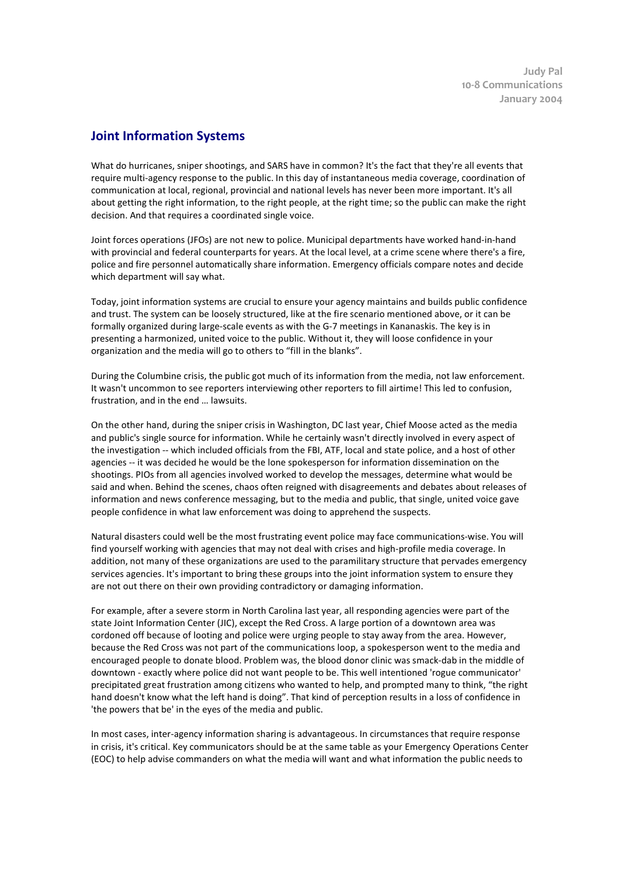**Judy Pal 10-8 Communications January 2004** 

## **Joint Information Systems**

What do hurricanes, sniper shootings, and SARS have in common? It's the fact that they're all events that require multi-agency response to the public. In this day of instantaneous media coverage, coordination of communication at local, regional, provincial and national levels has never been more important. It's all about getting the right information, to the right people, at the right time; so the public can make the right decision. And that requires a coordinated single voice.

Joint forces operations (JFOs) are not new to police. Municipal departments have worked hand-in-hand with provincial and federal counterparts for years. At the local level, at a crime scene where there's a fire, police and fire personnel automatically share information. Emergency officials compare notes and decide which department will say what.

Today, joint information systems are crucial to ensure your agency maintains and builds public confidence and trust. The system can be loosely structured, like at the fire scenario mentioned above, or it can be formally organized during large-scale events as with the G-7 meetings in Kananaskis. The key is in presenting a harmonized, united voice to the public. Without it, they will loose confidence in your organization and the media will go to others to "fill in the blanks".

During the Columbine crisis, the public got much of its information from the media, not law enforcement. It wasn't uncommon to see reporters interviewing other reporters to fill airtime! This led to confusion, frustration, and in the end … lawsuits.

On the other hand, during the sniper crisis in Washington, DC last year, Chief Moose acted as the media and public's single source for information. While he certainly wasn't directly involved in every aspect of the investigation -- which included officials from the FBI, ATF, local and state police, and a host of other agencies -- it was decided he would be the lone spokesperson for information dissemination on the shootings. PIOs from all agencies involved worked to develop the messages, determine what would be said and when. Behind the scenes, chaos often reigned with disagreements and debates about releases of information and news conference messaging, but to the media and public, that single, united voice gave people confidence in what law enforcement was doing to apprehend the suspects.

Natural disasters could well be the most frustrating event police may face communications-wise. You will find yourself working with agencies that may not deal with crises and high-profile media coverage. In addition, not many of these organizations are used to the paramilitary structure that pervades emergency services agencies. It's important to bring these groups into the joint information system to ensure they are not out there on their own providing contradictory or damaging information.

For example, after a severe storm in North Carolina last year, all responding agencies were part of the state Joint Information Center (JIC), except the Red Cross. A large portion of a downtown area was cordoned off because of looting and police were urging people to stay away from the area. However, because the Red Cross was not part of the communications loop, a spokesperson went to the media and encouraged people to donate blood. Problem was, the blood donor clinic was smack-dab in the middle of downtown - exactly where police did not want people to be. This well intentioned 'rogue communicator' precipitated great frustration among citizens who wanted to help, and prompted many to think, "the right hand doesn't know what the left hand is doing". That kind of perception results in a loss of confidence in 'the powers that be' in the eyes of the media and public.

In most cases, inter-agency information sharing is advantageous. In circumstances that require response in crisis, it's critical. Key communicators should be at the same table as your Emergency Operations Center (EOC) to help advise commanders on what the media will want and what information the public needs to